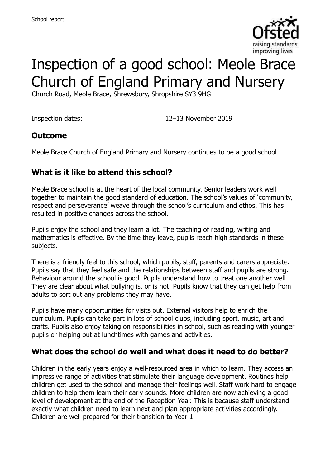

# Inspection of a good school: Meole Brace Church of England Primary and Nursery

Church Road, Meole Brace, Shrewsbury, Shropshire SY3 9HG

Inspection dates: 12–13 November 2019

# **Outcome**

Meole Brace Church of England Primary and Nursery continues to be a good school.

# **What is it like to attend this school?**

Meole Brace school is at the heart of the local community. Senior leaders work well together to maintain the good standard of education. The school's values of 'community, respect and perseverance' weave through the school's curriculum and ethos. This has resulted in positive changes across the school.

Pupils enjoy the school and they learn a lot. The teaching of reading, writing and mathematics is effective. By the time they leave, pupils reach high standards in these subjects.

There is a friendly feel to this school, which pupils, staff, parents and carers appreciate. Pupils say that they feel safe and the relationships between staff and pupils are strong. Behaviour around the school is good. Pupils understand how to treat one another well. They are clear about what bullying is, or is not. Pupils know that they can get help from adults to sort out any problems they may have.

Pupils have many opportunities for visits out. External visitors help to enrich the curriculum. Pupils can take part in lots of school clubs, including sport, music, art and crafts. Pupils also enjoy taking on responsibilities in school, such as reading with younger pupils or helping out at lunchtimes with games and activities.

#### **What does the school do well and what does it need to do better?**

Children in the early years enjoy a well-resourced area in which to learn. They access an impressive range of activities that stimulate their language development. Routines help children get used to the school and manage their feelings well. Staff work hard to engage children to help them learn their early sounds. More children are now achieving a good level of development at the end of the Reception Year. This is because staff understand exactly what children need to learn next and plan appropriate activities accordingly. Children are well prepared for their transition to Year 1.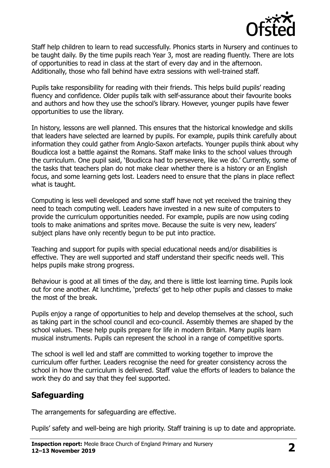

Staff help children to learn to read successfully. Phonics starts in Nursery and continues to be taught daily. By the time pupils reach Year 3, most are reading fluently. There are lots of opportunities to read in class at the start of every day and in the afternoon. Additionally, those who fall behind have extra sessions with well-trained staff.

Pupils take responsibility for reading with their friends. This helps build pupils' reading fluency and confidence. Older pupils talk with self-assurance about their favourite books and authors and how they use the school's library. However, younger pupils have fewer opportunities to use the library.

In history, lessons are well planned. This ensures that the historical knowledge and skills that leaders have selected are learned by pupils. For example, pupils think carefully about information they could gather from Anglo-Saxon artefacts. Younger pupils think about why Boudicca lost a battle against the Romans. Staff make links to the school values through the curriculum. One pupil said, 'Boudicca had to persevere, like we do.' Currently, some of the tasks that teachers plan do not make clear whether there is a history or an English focus, and some learning gets lost. Leaders need to ensure that the plans in place reflect what is taught.

Computing is less well developed and some staff have not yet received the training they need to teach computing well. Leaders have invested in a new suite of computers to provide the curriculum opportunities needed. For example, pupils are now using coding tools to make animations and sprites move. Because the suite is very new, leaders' subject plans have only recently begun to be put into practice.

Teaching and support for pupils with special educational needs and/or disabilities is effective. They are well supported and staff understand their specific needs well. This helps pupils make strong progress.

Behaviour is good at all times of the day, and there is little lost learning time. Pupils look out for one another. At lunchtime, 'prefects' get to help other pupils and classes to make the most of the break.

Pupils enjoy a range of opportunities to help and develop themselves at the school, such as taking part in the school council and eco-council. Assembly themes are shaped by the school values. These help pupils prepare for life in modern Britain. Many pupils learn musical instruments. Pupils can represent the school in a range of competitive sports.

The school is well led and staff are committed to working together to improve the curriculum offer further. Leaders recognise the need for greater consistency across the school in how the curriculum is delivered. Staff value the efforts of leaders to balance the work they do and say that they feel supported.

# **Safeguarding**

The arrangements for safeguarding are effective.

Pupils' safety and well-being are high priority. Staff training is up to date and appropriate.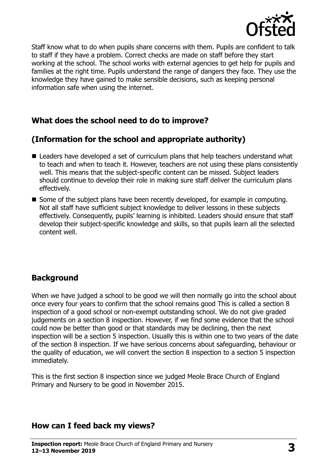

Staff know what to do when pupils share concerns with them. Pupils are confident to talk to staff if they have a problem. Correct checks are made on staff before they start working at the school. The school works with external agencies to get help for pupils and families at the right time. Pupils understand the range of dangers they face. They use the knowledge they have gained to make sensible decisions, such as keeping personal information safe when using the internet.

# **What does the school need to do to improve?**

# **(Information for the school and appropriate authority)**

- Leaders have developed a set of curriculum plans that help teachers understand what to teach and when to teach it. However, teachers are not using these plans consistently well. This means that the subject-specific content can be missed. Subject leaders should continue to develop their role in making sure staff deliver the curriculum plans effectively.
- Some of the subject plans have been recently developed, for example in computing. Not all staff have sufficient subject knowledge to deliver lessons in these subjects effectively. Consequently, pupils' learning is inhibited. Leaders should ensure that staff develop their subject-specific knowledge and skills, so that pupils learn all the selected content well.

# **Background**

When we have judged a school to be good we will then normally go into the school about once every four years to confirm that the school remains good This is called a section 8 inspection of a good school or non-exempt outstanding school. We do not give graded judgements on a section 8 inspection. However, if we find some evidence that the school could now be better than good or that standards may be declining, then the next inspection will be a section 5 inspection. Usually this is within one to two years of the date of the section 8 inspection. If we have serious concerns about safeguarding, behaviour or the quality of education, we will convert the section 8 inspection to a section 5 inspection immediately.

This is the first section 8 inspection since we judged Meole Brace Church of England Primary and Nursery to be good in November 2015.

#### **How can I feed back my views?**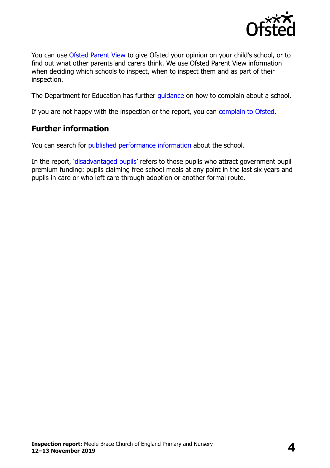

You can use [Ofsted Parent View](https://parentview.ofsted.gov.uk/) to give Ofsted your opinion on your child's school, or to find out what other parents and carers think. We use Ofsted Parent View information when deciding which schools to inspect, when to inspect them and as part of their inspection.

The Department for Education has further quidance on how to complain about a school.

If you are not happy with the inspection or the report, you can [complain to Ofsted.](https://www.gov.uk/complain-ofsted-report)

# **Further information**

You can search for [published performance information](http://www.compare-school-performance.service.gov.uk/) about the school.

In the report, '[disadvantaged pupils](http://www.gov.uk/guidance/pupil-premium-information-for-schools-and-alternative-provision-settings)' refers to those pupils who attract government pupil premium funding: pupils claiming free school meals at any point in the last six years and pupils in care or who left care through adoption or another formal route.

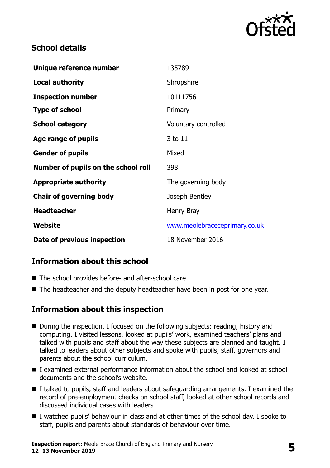

# **School details**

| Unique reference number             | 135789                        |
|-------------------------------------|-------------------------------|
| Local authority                     | Shropshire                    |
| <b>Inspection number</b>            | 10111756                      |
| <b>Type of school</b>               | Primary                       |
| <b>School category</b>              | Voluntary controlled          |
| Age range of pupils                 | 3 to 11                       |
| <b>Gender of pupils</b>             | Mixed                         |
| Number of pupils on the school roll | 398                           |
| <b>Appropriate authority</b>        | The governing body            |
| <b>Chair of governing body</b>      | Joseph Bentley                |
| <b>Headteacher</b>                  | Henry Bray                    |
| Website                             | www.meolebraceceprimary.co.uk |
| Date of previous inspection         | 18 November 2016              |

# **Information about this school**

- The school provides before- and after-school care.
- The headteacher and the deputy headteacher have been in post for one year.

# **Information about this inspection**

- During the inspection, I focused on the following subjects: reading, history and computing. I visited lessons, looked at pupils' work, examined teachers' plans and talked with pupils and staff about the way these subjects are planned and taught. I talked to leaders about other subjects and spoke with pupils, staff, governors and parents about the school curriculum.
- I examined external performance information about the school and looked at school documents and the school's website.
- I talked to pupils, staff and leaders about safeguarding arrangements. I examined the record of pre-employment checks on school staff, looked at other school records and discussed individual cases with leaders.
- I watched pupils' behaviour in class and at other times of the school day. I spoke to staff, pupils and parents about standards of behaviour over time.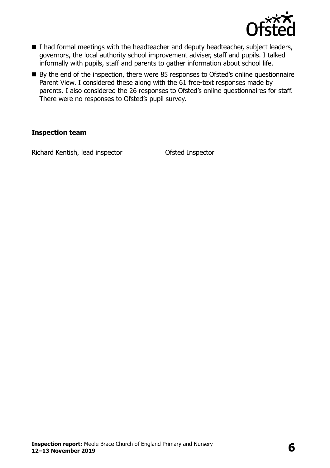

- I had formal meetings with the headteacher and deputy headteacher, subject leaders, governors, the local authority school improvement adviser, staff and pupils. I talked informally with pupils, staff and parents to gather information about school life.
- By the end of the inspection, there were 85 responses to Ofsted's online questionnaire Parent View. I considered these along with the 61 free-text responses made by parents. I also considered the 26 responses to Ofsted's online questionnaires for staff. There were no responses to Ofsted's pupil survey.

#### **Inspection team**

Richard Kentish, lead inspector Ofsted Inspector